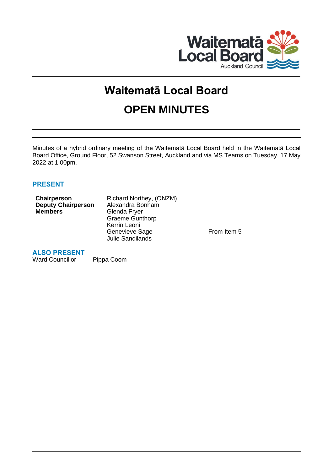

# **Waitematā Local Board OPEN MINUTES**

Minutes of a hybrid ordinary meeting of the Waitematā Local Board held in the Waitematā Local Board Office, Ground Floor, 52 Swanson Street, Auckland and via MS Teams on Tuesday, 17 May 2022 at 1.00pm.

# **PRESENT**

| Chairperson               | Richard Northey, (ONZM) |
|---------------------------|-------------------------|
| <b>Deputy Chairperson</b> | Alexandra Bonham        |
| <b>Members</b>            | Glenda Fryer            |
|                           | <b>Graeme Gunthorp</b>  |
|                           | Kerrin Leoni            |
|                           | Genevieve Sage          |
|                           | <b>Julie Sandilands</b> |
|                           |                         |

From Item 5

# **ALSO PRESENT**

Ward Councillor Pippa Coom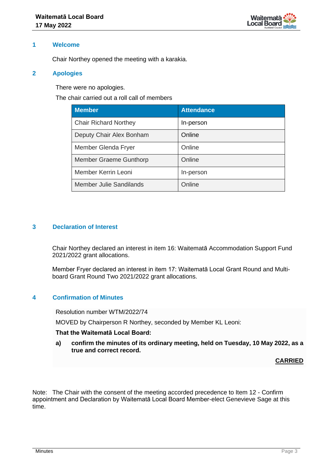

#### **1 Welcome**

Chair Northey opened the meeting with a karakia.

#### **2 Apologies**

There were no apologies.

The chair carried out a roll call of members

| <b>Member</b>                 | <b>Attendance</b> |
|-------------------------------|-------------------|
| <b>Chair Richard Northey</b>  | In-person         |
| Deputy Chair Alex Bonham      | Online            |
| Member Glenda Fryer           | Online            |
| <b>Member Graeme Gunthorp</b> | Online            |
| Member Kerrin Leoni           | In-person         |
| Member Julie Sandilands       | Online            |

#### **3 Declaration of Interest**

Chair Northey declared an interest in item 16: Waitematā Accommodation Support Fund 2021/2022 grant allocations.

Member Fryer declared an interest in item 17: Waitematā Local Grant Round and Multiboard Grant Round Two 2021/2022 grant allocations.

# **4 Confirmation of Minutes**

Resolution number WTM/2022/74

MOVED by Chairperson R Northey, seconded by Member KL Leoni:

#### **That the Waitematā Local Board:**

**a) confirm the minutes of its ordinary meeting, held on Tuesday, 10 May 2022, as a true and correct record.**

**CARRIED**

Note: The Chair with the consent of the meeting accorded precedence to Item 12 - Confirm appointment and Declaration by Waitematā Local Board Member-elect Genevieve Sage at this time.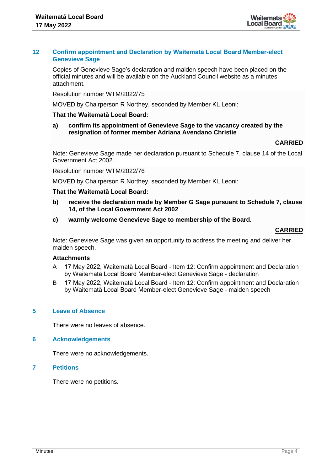

#### **12 Confirm appointment and Declaration by Waitematā Local Board Member-elect Genevieve Sage**

Copies of Genevieve Sage's declaration and maiden speech have been placed on the official minutes and will be available on the Auckland Council website as a minutes attachment.

Resolution number WTM/2022/75

MOVED by Chairperson R Northey, seconded by Member KL Leoni:

## **That the Waitematā Local Board:**

**a) confirm its appointment of Genevieve Sage to the vacancy created by the resignation of former member Adriana Avendano Christie**

#### **CARRIED**

Note: Genevieve Sage made her declaration pursuant to Schedule 7, clause 14 of the Local Government Act 2002.

Resolution number WTM/2022/76

MOVED by Chairperson R Northey, seconded by Member KL Leoni:

#### **That the Waitematā Local Board:**

- **b) receive the declaration made by Member G Sage pursuant to Schedule 7, clause 14, of the Local Government Act 2002**
- **c) warmly welcome Genevieve Sage to membership of the Board.**

#### **CARRIED**

Note: Genevieve Sage was given an opportunity to address the meeting and deliver her maiden speech.

#### **Attachments**

- A 17 May 2022, Waitematā Local Board Item 12: Confirm appointment and Declaration by Waitematā Local Board Member-elect Genevieve Sage - declaration
- B 17 May 2022, Waitematā Local Board Item 12: Confirm appointment and Declaration by Waitematā Local Board Member-elect Genevieve Sage - maiden speech

#### **5 Leave of Absence**

There were no leaves of absence.

#### **6 Acknowledgements**

There were no acknowledgements.

#### **7 Petitions**

There were no petitions.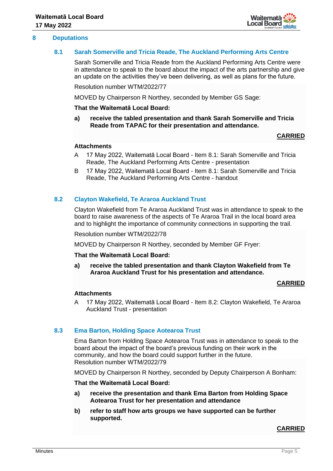

#### **8 Deputations**

#### **8.1 Sarah Somerville and Tricia Reade, The Auckland Performing Arts Centre**

Sarah Somerville and Tricia Reade from the Auckland Performing Arts Centre were in attendance to speak to the board about the impact of the arts partnership and give an update on the activities they've been delivering, as well as plans for the future.

Resolution number WTM/2022/77

MOVED by Chairperson R Northey, seconded by Member GS Sage:

**That the Waitematā Local Board:**

**a) receive the tabled presentation and thank Sarah Somerville and Tricia Reade from TAPAC for their presentation and attendance.**

# **CARRIED**

#### **Attachments**

- A 17 May 2022, Waitematā Local Board Item 8.1: Sarah Somerville and Tricia Reade, The Auckland Performing Arts Centre - presentation
- B 17 May 2022, Waitematā Local Board Item 8.1: Sarah Somerville and Tricia Reade, The Auckland Performing Arts Centre - handout

# **8.2 Clayton Wakefield, Te Araroa Auckland Trust**

Clayton Wakefield from Te Araroa Auckland Trust was in attendance to speak to the board to raise awareness of the aspects of Te Araroa Trail in the local board area and to highlight the importance of community connections in supporting the trail.

Resolution number WTM/2022/78

MOVED by Chairperson R Northey, seconded by Member GF Fryer:

#### **That the Waitematā Local Board:**

**a) receive the tabled presentation and thank Clayton Wakefield from Te Araroa Auckland Trust for his presentation and attendance.**

#### **CARRIED**

#### **Attachments**

A 17 May 2022, Waitematā Local Board - Item 8.2: Clayton Wakefield, Te Araroa Auckland Trust - presentation

# **8.3 Ema Barton, Holding Space Aotearoa Trust**

Ema Barton from Holding Space Aotearoa Trust was in attendance to speak to the board about the impact of the board's previous funding on their work in the community, and how the board could support further in the future. Resolution number WTM/2022/79

MOVED by Chairperson R Northey, seconded by Deputy Chairperson A Bonham:

#### **That the Waitematā Local Board:**

- **a) receive the presentation and thank Ema Barton from Holding Space Aotearoa Trust for her presentation and attendance**
- **b) refer to staff how arts groups we have supported can be further supported.**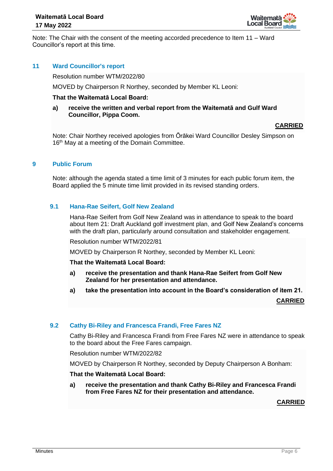

Note: The Chair with the consent of the meeting accorded precedence to Item 11 – Ward Councillor's report at this time.

# **11 Ward Councillor's report**

Resolution number WTM/2022/80

MOVED by Chairperson R Northey, seconded by Member KL Leoni:

#### **That the Waitematā Local Board:**

#### **a) receive the written and verbal report from the Waitematā and Gulf Ward Councillor, Pippa Coom.**

#### **CARRIED**

Note: Chair Northey received apologies from Ōrākei Ward Councillor Desley Simpson on 16<sup>th</sup> May at a meeting of the Domain Committee.

#### **9 Public Forum**

Note: although the agenda stated a time limit of 3 minutes for each public forum item, the Board applied the 5 minute time limit provided in its revised standing orders.

## **9.1 Hana-Rae Seifert, Golf New Zealand**

Hana-Rae Seifert from Golf New Zealand was in attendance to speak to the board about Item 21: Draft Auckland golf investment plan, and Golf New Zealand's concerns with the draft plan, particularly around consultation and stakeholder engagement.

Resolution number WTM/2022/81

MOVED by Chairperson R Northey, seconded by Member KL Leoni:

**That the Waitematā Local Board:**

- **a) receive the presentation and thank Hana-Rae Seifert from Golf New Zealand for her presentation and attendance.**
- **a) take the presentation into account in the Board's consideration of item 21.**

**CARRIED**

# **9.2 Cathy Bi-Riley and Francesca Frandi, Free Fares NZ**

Cathy Bi-Riley and Francesca Frandi from Free Fares NZ were in attendance to speak to the board about the Free Fares campaign.

Resolution number WTM/2022/82

MOVED by Chairperson R Northey, seconded by Deputy Chairperson A Bonham:

**That the Waitematā Local Board:**

**a) receive the presentation and thank Cathy Bi-Riley and Francesca Frandi from Free Fares NZ for their presentation and attendance.**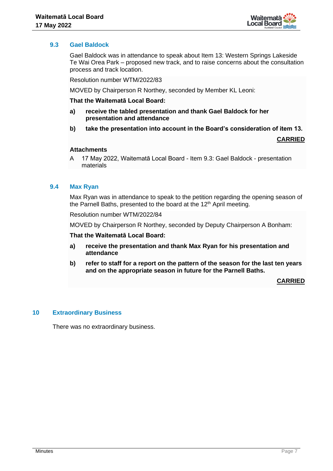

# **9.3 Gael Baldock**

Gael Baldock was in attendance to speak about Item 13: Western Springs Lakeside Te Wai Orea Park – proposed new track, and to raise concerns about the consultation process and track location.

Resolution number WTM/2022/83

MOVED by Chairperson R Northey, seconded by Member KL Leoni:

**That the Waitematā Local Board:**

- **a) receive the tabled presentation and thank Gael Baldock for her presentation and attendance**
- **b) take the presentation into account in the Board's consideration of item 13.**

**CARRIED**

#### **Attachments**

A 17 May 2022, Waitematā Local Board - Item 9.3: Gael Baldock - presentation materials

#### **9.4 Max Ryan**

Max Ryan was in attendance to speak to the petition regarding the opening season of the Parnell Baths, presented to the board at the 12<sup>th</sup> April meeting.

Resolution number WTM/2022/84

MOVED by Chairperson R Northey, seconded by Deputy Chairperson A Bonham:

**That the Waitematā Local Board:**

- **a) receive the presentation and thank Max Ryan for his presentation and attendance**
- **b) refer to staff for a report on the pattern of the season for the last ten years and on the appropriate season in future for the Parnell Baths.**

#### **CARRIED**

#### **10 Extraordinary Business**

There was no extraordinary business.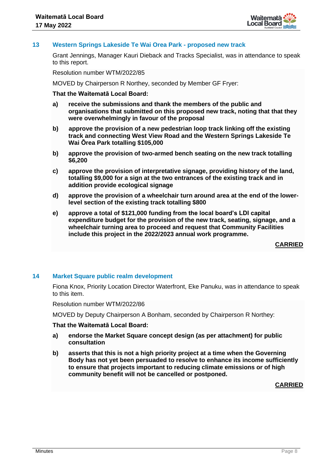

# **13 Western Springs Lakeside Te Wai Orea Park - proposed new track**

Grant Jennings, Manager Kauri Dieback and Tracks Specialist, was in attendance to speak to this report.

Resolution number WTM/2022/85

MOVED by Chairperson R Northey, seconded by Member GF Fryer:

#### **That the Waitematā Local Board:**

- **a) receive the submissions and thank the members of the public and organisations that submitted on this proposed new track, noting that that they were overwhelmingly in favour of the proposal**
- **b) approve the provision of a new pedestrian loop track linking off the existing track and connecting West View Road and the Western Springs Lakeside Te Wai Ōrea Park totalling \$105,000**
- **b) approve the provision of two-armed bench seating on the new track totalling \$6,200**
- **c) approve the provision of interpretative signage, providing history of the land, totalling \$9,000 for a sign at the two entrances of the existing track and in addition provide ecological signage**
- **d) approve the provision of a wheelchair turn around area at the end of the lowerlevel section of the existing track totalling \$800**
- **e) approve a total of \$121,000 funding from the local board's LDI capital expenditure budget for the provision of the new track, seating, signage, and a wheelchair turning area to proceed and request that Community Facilities include this project in the 2022/2023 annual work programme.**

**CARRIED**

# **14 Market Square public realm development**

Fiona Knox, Priority Location Director Waterfront, Eke Panuku, was in attendance to speak to this item.

Resolution number WTM/2022/86

MOVED by Deputy Chairperson A Bonham, seconded by Chairperson R Northey:

#### **That the Waitematā Local Board:**

- **a) endorse the Market Square concept design (as per attachment) for public consultation**
- **b) asserts that this is not a high priority project at a time when the Governing Body has not yet been persuaded to resolve to enhance its income sufficiently to ensure that projects important to reducing climate emissions or of high community benefit will not be cancelled or postponed.**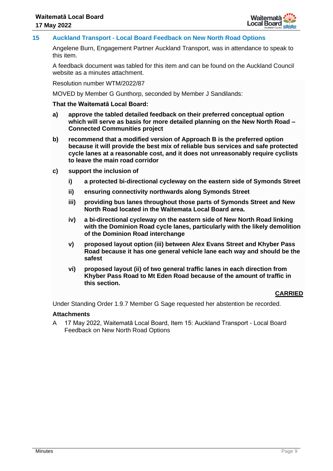

# **15 Auckland Transport - Local Board Feedback on New North Road Options**

Angelene Burn, Engagement Partner Auckland Transport, was in attendance to speak to this item.

A feedback document was tabled for this item and can be found on the Auckland Council website as a minutes attachment.

Resolution number WTM/2022/87

MOVED by Member G Gunthorp, seconded by Member J Sandilands:

#### **That the Waitematā Local Board:**

- **a) approve the tabled detailed feedback on their preferred conceptual option which will serve as basis for more detailed planning on the New North Road – Connected Communities project**
- **b) recommend that a modified version of Approach B is the preferred option because it will provide the best mix of reliable bus services and safe protected cycle lanes at a reasonable cost, and it does not unreasonably require cyclists to leave the main road corridor**
- **c) support the inclusion of** 
	- **i) a protected bi-directional cycleway on the eastern side of Symonds Street**
	- **ii) ensuring connectivity northwards along Symonds Street**
	- **iii) providing bus lanes throughout those parts of Symonds Street and New North Road located in the Waitemata Local Board area.**
	- **iv) a bi-directional cycleway on the eastern side of New North Road linking with the Dominion Road cycle lanes, particularly with the likely demolition of the Dominion Road interchange**
	- **v) proposed layout option (iii) between Alex Evans Street and Khyber Pass Road because it has one general vehicle lane each way and should be the safest**
	- **vi) proposed layout (ii) of two general traffic lanes in each direction from Khyber Pass Road to Mt Eden Road because of the amount of traffic in this section.**

# **CARRIED**

Under Standing Order 1.9.7 Member G Sage requested her abstention be recorded.

#### **Attachments**

A 17 May 2022, Waitematā Local Board, Item 15: Auckland Transport - Local Board Feedback on New North Road Options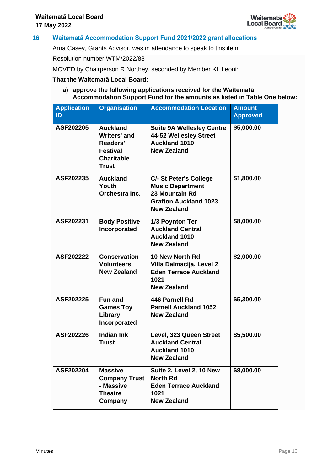

# **16 Waitematā Accommodation Support Fund 2021/2022 grant allocations**

Arna Casey, Grants Advisor, was in attendance to speak to this item.

Resolution number WTM/2022/88

MOVED by Chairperson R Northey, seconded by Member KL Leoni:

#### **That the Waitematā Local Board:**

#### **a) approve the following applications received for the Waitematā Accommodation Support Fund for the amounts as listed in Table One below:**

| <b>Application</b><br>ID | <b>Organisation</b>                                                                                        | <b>Accommodation Location</b>                                                                                             | <b>Amount</b><br><b>Approved</b> |
|--------------------------|------------------------------------------------------------------------------------------------------------|---------------------------------------------------------------------------------------------------------------------------|----------------------------------|
| ASF202205                | <b>Auckland</b><br><b>Writers' and</b><br>Readers'<br><b>Festival</b><br><b>Charitable</b><br><b>Trust</b> | <b>Suite 9A Wellesley Centre</b><br>44-52 Wellesley Street<br><b>Auckland 1010</b><br><b>New Zealand</b>                  | \$5,000.00                       |
| ASF202235                | <b>Auckland</b><br>Youth<br>Orchestra Inc.                                                                 | C/- St Peter's College<br><b>Music Department</b><br>23 Mountain Rd<br><b>Grafton Auckland 1023</b><br><b>New Zealand</b> | \$1,800.00                       |
| ASF202231                | <b>Body Positive</b><br>Incorporated                                                                       | 1/3 Poynton Ter<br><b>Auckland Central</b><br><b>Auckland 1010</b><br><b>New Zealand</b>                                  | \$8,000.00                       |
| ASF202222                | <b>Conservation</b><br><b>Volunteers</b><br><b>New Zealand</b>                                             | 10 New North Rd<br>Villa Dalmacija, Level 2<br><b>Eden Terrace Auckland</b><br>1021<br><b>New Zealand</b>                 | \$2,000.00                       |
| ASF202225                | <b>Fun and</b><br><b>Games Toy</b><br>Library<br>Incorporated                                              | 446 Parnell Rd<br><b>Parnell Auckland 1052</b><br><b>New Zealand</b>                                                      | \$5,300.00                       |
| ASF202226                | <b>Indian Ink</b><br><b>Trust</b>                                                                          | Level, 323 Queen Street<br><b>Auckland Central</b><br><b>Auckland 1010</b><br><b>New Zealand</b>                          | \$5,500.00                       |
| ASF202204                | <b>Massive</b><br><b>Company Trust</b><br>- Massive<br><b>Theatre</b><br>Company                           | Suite 2, Level 2, 10 New<br><b>North Rd</b><br><b>Eden Terrace Auckland</b><br>1021<br><b>New Zealand</b>                 | \$8,000.00                       |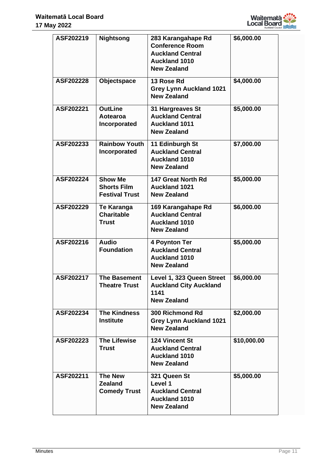

| ASF202219 | <b>Nightsong</b>                                              | 283 Karangahape Rd<br><b>Conference Room</b><br><b>Auckland Central</b><br><b>Auckland 1010</b><br><b>New Zealand</b> | \$6,000.00  |
|-----------|---------------------------------------------------------------|-----------------------------------------------------------------------------------------------------------------------|-------------|
| ASF202228 | Objectspace                                                   | 13 Rose Rd<br><b>Grey Lynn Auckland 1021</b><br><b>New Zealand</b>                                                    | \$4,000.00  |
| ASF202221 | <b>OutLine</b><br>Aotearoa<br>Incorporated                    | 31 Hargreaves St<br><b>Auckland Central</b><br><b>Auckland 1011</b><br><b>New Zealand</b>                             | \$5,000.00  |
| ASF202233 | <b>Rainbow Youth</b><br>Incorporated                          | 11 Edinburgh St<br><b>Auckland Central</b><br><b>Auckland 1010</b><br><b>New Zealand</b>                              | \$7,000.00  |
| ASF202224 | <b>Show Me</b><br><b>Shorts Film</b><br><b>Festival Trust</b> | 147 Great North Rd<br><b>Auckland 1021</b><br><b>New Zealand</b>                                                      | \$5,000.00  |
| ASF202229 | <b>Te Karanga</b><br><b>Charitable</b><br>Trust               | 169 Karangahape Rd<br><b>Auckland Central</b><br><b>Auckland 1010</b><br><b>New Zealand</b>                           | \$6,000.00  |
| ASF202216 | <b>Audio</b><br><b>Foundation</b>                             | 4 Poynton Ter<br><b>Auckland Central</b><br><b>Auckland 1010</b><br><b>New Zealand</b>                                | \$5,000.00  |
| ASF202217 | <b>The Basement</b><br><b>Theatre Trust</b>                   | Level 1, 323 Queen Street<br><b>Auckland City Auckland</b><br>1141<br><b>New Zealand</b>                              | \$6,000.00  |
| ASF202234 | <b>The Kindness</b><br><b>Institute</b>                       | 300 Richmond Rd<br><b>Grey Lynn Auckland 1021</b><br><b>New Zealand</b>                                               | \$2,000.00  |
| ASF202223 | <b>The Lifewise</b><br><b>Trust</b>                           | <b>124 Vincent St</b><br><b>Auckland Central</b><br><b>Auckland 1010</b><br><b>New Zealand</b>                        | \$10,000.00 |
| ASF202211 | <b>The New</b><br><b>Zealand</b><br><b>Comedy Trust</b>       | 321 Queen St<br>Level 1<br><b>Auckland Central</b><br><b>Auckland 1010</b><br><b>New Zealand</b>                      | \$5,000.00  |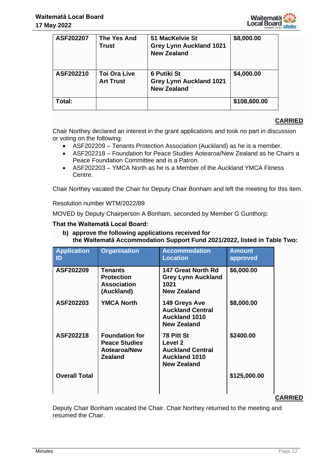

| ASF202207 | The Yes And<br>Trust                    | 51 MacKelvie St<br><b>Grey Lynn Auckland 1021</b><br><b>New Zealand</b>    | \$8,000.00   |
|-----------|-----------------------------------------|----------------------------------------------------------------------------|--------------|
| ASF202210 | <b>Toi Ora Live</b><br><b>Art Trust</b> | <b>6 Putiki St</b><br><b>Grey Lynn Auckland 1021</b><br><b>New Zealand</b> | \$4,000.00   |
| Total:    |                                         |                                                                            | \$108,600.00 |

Chair Northey declared an interest in the grant applications and took no part in discussion or voting on the following:

- ASF202209 Tenants Protection Association (Auckland) as he is a member.
- ASF202218 Foundation for Peace Studies Aotearoa/New Zealand as he Chairs a Peace Foundation Committee and is a Patron.
- ASF202203 YMCA North as he is a Member of the Auckland YMCA Fitness Centre.

Chair Northey vacated the Chair for Deputy Chair Bonham and left the meeting for this item.

#### Resolution number WTM/2022/89

MOVED by Deputy Chairperson A Bonham, seconded by Member G Gunthorp:

# **That the Waitematā Local Board:**

**b) approve the following applications received for the Waitematā Accommodation Support Fund 2021/2022, listed in Table Two:**

| <b>Application</b><br>ID | <b>Organisation</b>                                                                    | <b>Accommodation</b><br><b>Location</b>                                                        | <b>Amount</b><br>approved |                |
|--------------------------|----------------------------------------------------------------------------------------|------------------------------------------------------------------------------------------------|---------------------------|----------------|
| ASF202209                | <b>Tenants</b><br><b>Protection</b><br><b>Association</b><br>(Auckland)                | 147 Great North Rd<br><b>Grey Lynn Auckland</b><br>1021<br><b>New Zealand</b>                  | \$6,000.00                |                |
| ASF202203                | <b>YMCA North</b>                                                                      | 149 Greys Ave<br><b>Auckland Central</b><br><b>Auckland 1010</b><br><b>New Zealand</b>         | \$8,000.00                |                |
| ASF202218                | <b>Foundation for</b><br><b>Peace Studies</b><br><b>Aotearoa/New</b><br><b>Zealand</b> | 78 Pitt St<br>Level 2<br><b>Auckland Central</b><br><b>Auckland 1010</b><br><b>New Zealand</b> | \$2400.00                 |                |
| <b>Overall Total</b>     |                                                                                        |                                                                                                | \$125,000.00              |                |
|                          |                                                                                        |                                                                                                |                           | <b>CARRIED</b> |

Deputy Chair Bonham vacated the Chair. Chair Northey returned to the meeting and resumed the Chair.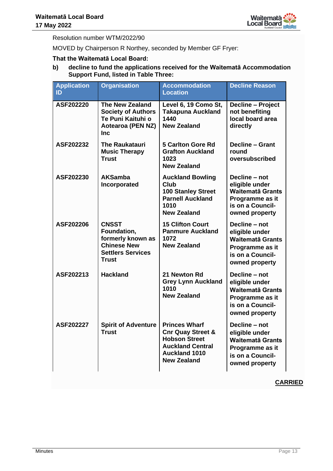

Resolution number WTM/2022/90

MOVED by Chairperson R Northey, seconded by Member GF Fryer:

# **That the Waitematā Local Board:**

**b) decline to fund the applications received for the Waitematā Accommodation Support Fund, listed in Table Three:**

| <b>Application</b><br>ID | <b>Organisation</b>                                                                                                | <b>Accommodation</b><br><b>Location</b>                                                                                                               | <b>Decline Reason</b>                                                                                               |
|--------------------------|--------------------------------------------------------------------------------------------------------------------|-------------------------------------------------------------------------------------------------------------------------------------------------------|---------------------------------------------------------------------------------------------------------------------|
| ASF202220                | <b>The New Zealand</b><br><b>Society of Authors</b><br>Te Puni Kaituhi o<br><b>Aotearoa (PEN NZ)</b><br><b>Inc</b> | Level 6, 19 Como St,<br><b>Takapuna Auckland</b><br>1440<br><b>New Zealand</b>                                                                        | <b>Decline - Project</b><br>not benefiting<br>local board area<br>directly                                          |
| ASF202232                | <b>The Raukatauri</b><br><b>Music Therapy</b><br><b>Trust</b>                                                      | <b>5 Carlton Gore Rd</b><br><b>Grafton Auckland</b><br>1023<br><b>New Zealand</b>                                                                     | <b>Decline - Grant</b><br>round<br>oversubscribed                                                                   |
| ASF202230                | <b>AKSamba</b><br>Incorporated                                                                                     | <b>Auckland Bowling</b><br>Club<br><b>100 Stanley Street</b><br><b>Parnell Auckland</b><br>1010<br><b>New Zealand</b>                                 | Decline - not<br>eligible under<br><b>Waitematā Grants</b><br>Programme as it<br>is on a Council-<br>owned property |
| ASF202206                | <b>CNSST</b><br>Foundation,<br>formerly known as<br><b>Chinese New</b><br><b>Settlers Services</b><br><b>Trust</b> | <b>15 Clifton Court</b><br><b>Panmure Auckland</b><br>1072<br><b>New Zealand</b>                                                                      | Decline - not<br>eligible under<br><b>Waitematā Grants</b><br>Programme as it<br>is on a Council-<br>owned property |
| ASF202213                | <b>Hackland</b>                                                                                                    | 21 Newton Rd<br><b>Grey Lynn Auckland</b><br>1010<br><b>New Zealand</b>                                                                               | Decline - not<br>eligible under<br><b>Waitematā Grants</b><br>Programme as it<br>is on a Council-<br>owned property |
| ASF202227                | <b>Spirit of Adventure</b><br><b>Trust</b>                                                                         | <b>Princes Wharf</b><br><b>Cnr Quay Street &amp;</b><br><b>Hobson Street</b><br><b>Auckland Central</b><br><b>Auckland 1010</b><br><b>New Zealand</b> | Decline - not<br>eligible under<br><b>Waitematā Grants</b><br>Programme as it<br>is on a Council-<br>owned property |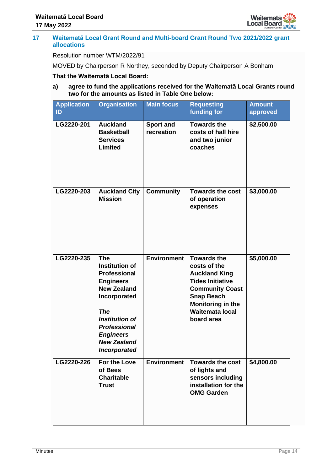

## **17 Waitematā Local Grant Round and Multi-board Grant Round Two 2021/2022 grant allocations**

# Resolution number WTM/2022/91

MOVED by Chairperson R Northey, seconded by Deputy Chairperson A Bonham:

#### **That the Waitematā Local Board:**

**a) agree to fund the applications received for the Waitematā Local Grants round two for the amounts as listed in Table One below:**

| <b>Application</b><br>ID | <b>Organisation</b>                                                                                                                                                                                                                          | <b>Main focus</b>       | <b>Requesting</b><br>funding for                                                                                                                                                                  | <b>Amount</b><br>approved |
|--------------------------|----------------------------------------------------------------------------------------------------------------------------------------------------------------------------------------------------------------------------------------------|-------------------------|---------------------------------------------------------------------------------------------------------------------------------------------------------------------------------------------------|---------------------------|
| LG2220-201               | <b>Auckland</b><br><b>Basketball</b><br><b>Services</b><br>Limited                                                                                                                                                                           | Sport and<br>recreation | <b>Towards the</b><br>costs of hall hire<br>and two junior<br>coaches                                                                                                                             | \$2,500.00                |
| LG2220-203               | <b>Auckland City</b><br><b>Mission</b>                                                                                                                                                                                                       | <b>Community</b>        | <b>Towards the cost</b><br>of operation<br>expenses                                                                                                                                               | \$3,000.00                |
| LG2220-235               | <b>The</b><br>Institution of<br><b>Professional</b><br><b>Engineers</b><br><b>New Zealand</b><br>Incorporated<br><b>The</b><br><b>Institution of</b><br><b>Professional</b><br><b>Engineers</b><br><b>New Zealand</b><br><b>Incorporated</b> | <b>Environment</b>      | <b>Towards the</b><br>costs of the<br><b>Auckland King</b><br><b>Tides Initiative</b><br><b>Community Coast</b><br><b>Snap Beach</b><br>Monitoring in the<br><b>Waitemata local</b><br>board area | \$5,000.00                |
| LG2220-226               | For the Love<br>of Bees<br><b>Charitable</b><br><b>Trust</b>                                                                                                                                                                                 | <b>Environment</b>      | <b>Towards the cost</b><br>of lights and<br>sensors including<br>installation for the<br><b>OMG Garden</b>                                                                                        | \$4,800.00                |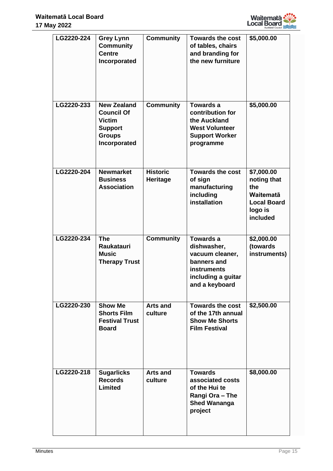

| LG2220-224 | <b>Grey Lynn</b><br><b>Community</b><br><b>Centre</b><br>Incorporated                                       | <b>Community</b>                   | <b>Towards the cost</b><br>of tables, chairs<br>and branding for<br>the new furniture                                           | \$5,000.00                                                                                        |
|------------|-------------------------------------------------------------------------------------------------------------|------------------------------------|---------------------------------------------------------------------------------------------------------------------------------|---------------------------------------------------------------------------------------------------|
| LG2220-233 | <b>New Zealand</b><br><b>Council Of</b><br><b>Victim</b><br><b>Support</b><br><b>Groups</b><br>Incorporated | <b>Community</b>                   | Towards a<br>contribution for<br>the Auckland<br><b>West Volunteer</b><br><b>Support Worker</b><br>programme                    | \$5,000.00                                                                                        |
| LG2220-204 | <b>Newmarket</b><br><b>Business</b><br><b>Association</b>                                                   | <b>Historic</b><br><b>Heritage</b> | <b>Towards the cost</b><br>of sign<br>manufacturing<br>including<br>installation                                                | \$7,000.00<br>noting that<br>the<br><b>Waitematā</b><br><b>Local Board</b><br>logo is<br>included |
| LG2220-234 | <b>The</b><br>Raukatauri<br><b>Music</b><br><b>Therapy Trust</b>                                            | <b>Community</b>                   | <b>Towards a</b><br>dishwasher,<br>vacuum cleaner,<br>banners and<br><b>instruments</b><br>including a guitar<br>and a keyboard | \$2,000.00<br>(towards<br>instruments)                                                            |
| LG2220-230 | <b>Show Me</b><br><b>Shorts Film</b><br><b>Festival Trust</b><br><b>Board</b>                               | Arts and<br>culture                | <b>Towards the cost</b><br>of the 17th annual<br><b>Show Me Shorts</b><br><b>Film Festival</b>                                  | \$2,500.00                                                                                        |
| LG2220-218 | <b>Sugarlicks</b><br><b>Records</b><br><b>Limited</b>                                                       | <b>Arts and</b><br>culture         | <b>Towards</b><br>associated costs<br>of the Hui te<br>Rangi Ora - The<br><b>Shed Wananga</b><br>project                        | \$8,000.00                                                                                        |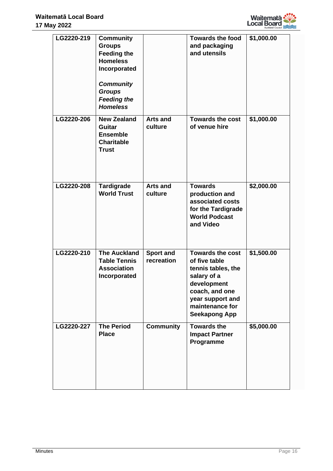

| LG2220-219 | <b>Community</b><br><b>Groups</b><br><b>Feeding the</b><br><b>Homeless</b><br>Incorporated<br><b>Community</b><br><b>Groups</b><br><b>Feeding the</b><br><b>Homeless</b> |                                | <b>Towards the food</b><br>and packaging<br>and utensils                                                                                                                      | \$1,000.00 |
|------------|--------------------------------------------------------------------------------------------------------------------------------------------------------------------------|--------------------------------|-------------------------------------------------------------------------------------------------------------------------------------------------------------------------------|------------|
| LG2220-206 | <b>New Zealand</b><br><b>Guitar</b><br><b>Ensemble</b><br><b>Charitable</b><br><b>Trust</b>                                                                              | <b>Arts and</b><br>culture     | <b>Towards the cost</b><br>of venue hire                                                                                                                                      | \$1,000.00 |
| LG2220-208 | <b>Tardigrade</b><br><b>World Trust</b>                                                                                                                                  | <b>Arts and</b><br>culture     | <b>Towards</b><br>production and<br>associated costs<br>for the Tardigrade<br><b>World Podcast</b><br>and Video                                                               | \$2,000.00 |
| LG2220-210 | <b>The Auckland</b><br><b>Table Tennis</b><br><b>Association</b><br>Incorporated                                                                                         | <b>Sport and</b><br>recreation | <b>Towards the cost</b><br>of five table<br>tennis tables, the<br>salary of a<br>development<br>coach, and one<br>year support and<br>maintenance for<br><b>Seekapong App</b> | \$1,500.00 |
| LG2220-227 | <b>The Period</b><br><b>Place</b>                                                                                                                                        | <b>Community</b>               | <b>Towards the</b><br><b>Impact Partner</b><br>Programme                                                                                                                      | \$5,000.00 |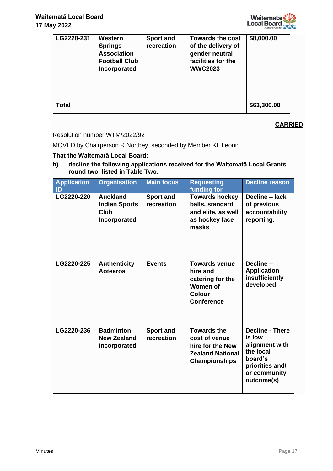

| LG2220-231   | Western<br><b>Springs</b><br><b>Association</b><br><b>Football Club</b><br>Incorporated | Sport and<br>recreation | <b>Towards the cost</b><br>of the delivery of<br>gender neutral<br>facilities for the<br><b>WWC2023</b> | \$8,000.00  |
|--------------|-----------------------------------------------------------------------------------------|-------------------------|---------------------------------------------------------------------------------------------------------|-------------|
| <b>Total</b> |                                                                                         |                         |                                                                                                         | \$63,300.00 |

# Resolution number WTM/2022/92

MOVED by Chairperson R Northey, seconded by Member KL Leoni:

# **That the Waitematā Local Board:**

**b) decline the following applications received for the Waitematā Local Grants round two, listed in Table Two:**

| <b>Application</b><br>ID | <b>Organisation</b>                                             | <b>Main focus</b>              | <b>Requesting</b><br>funding for                                                                           | <b>Decline reason</b>                                                                                                       |
|--------------------------|-----------------------------------------------------------------|--------------------------------|------------------------------------------------------------------------------------------------------------|-----------------------------------------------------------------------------------------------------------------------------|
| LG2220-220               | <b>Auckland</b><br><b>Indian Sports</b><br>Club<br>Incorporated | <b>Sport and</b><br>recreation | <b>Towards hockey</b><br>balls, standard<br>and elite, as well<br>as hockey face<br>masks                  | Decline - lack<br>of previous<br>accountability<br>reporting.                                                               |
| LG2220-225               | <b>Authenticity</b><br>Aotearoa                                 | <b>Events</b>                  | <b>Towards venue</b><br>hire and<br>catering for the<br>Women of<br><b>Colour</b><br><b>Conference</b>     | Decline-<br><b>Application</b><br>insufficiently<br>developed                                                               |
| LG2220-236               | <b>Badminton</b><br><b>New Zealand</b><br>Incorporated          | <b>Sport and</b><br>recreation | <b>Towards the</b><br>cost of venue<br>hire for the New<br><b>Zealand National</b><br><b>Championships</b> | <b>Decline - There</b><br>is low<br>alignment with<br>the local<br>board's<br>priorities and/<br>or community<br>outcome(s) |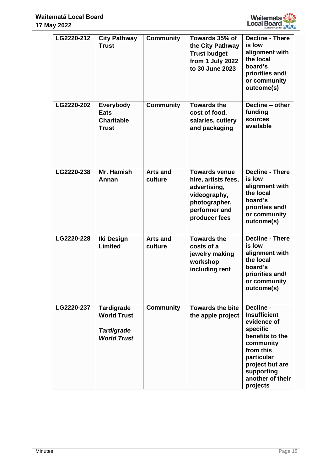

| LG2220-212 | <b>City Pathway</b><br><b>Trust</b>                                         | <b>Community</b>           | Towards 35% of<br>the City Pathway<br><b>Trust budget</b><br>from 1 July 2022<br>to 30 June 2023                               | <b>Decline - There</b><br>is low<br>alignment with<br>the local<br>board's<br>priorities and/<br>or community<br>outcome(s)                                                             |
|------------|-----------------------------------------------------------------------------|----------------------------|--------------------------------------------------------------------------------------------------------------------------------|-----------------------------------------------------------------------------------------------------------------------------------------------------------------------------------------|
| LG2220-202 | Everybody<br><b>Eats</b><br><b>Charitable</b><br><b>Trust</b>               | <b>Community</b>           | <b>Towards the</b><br>cost of food,<br>salaries, cutlery<br>and packaging                                                      | Decline - other<br>funding<br>sources<br>available                                                                                                                                      |
| LG2220-238 | Mr. Hamish<br>Annan                                                         | <b>Arts and</b><br>culture | <b>Towards venue</b><br>hire, artists fees,<br>advertising,<br>videography,<br>photographer,<br>performer and<br>producer fees | <b>Decline - There</b><br>is low<br>alignment with<br>the local<br>board's<br>priorities and/<br>or community<br>outcome(s)                                                             |
| LG2220-228 | <b>Iki Design</b><br>Limited                                                | <b>Arts and</b><br>culture | <b>Towards the</b><br>costs of a<br>jewelry making<br>workshop<br>including rent                                               | <b>Decline - There</b><br>is low<br>alignment with<br>the local<br>board's<br>priorities and/<br>or community<br>outcome(s)                                                             |
| LG2220-237 | Tardigrade<br><b>World Trust</b><br><b>Tardigrade</b><br><b>World Trust</b> | <b>Community</b>           | <b>Towards the bite</b><br>the apple project                                                                                   | Decline -<br><b>Insufficient</b><br>evidence of<br>specific<br>benefits to the<br>community<br>from this<br>particular<br>project but are<br>supporting<br>another of their<br>projects |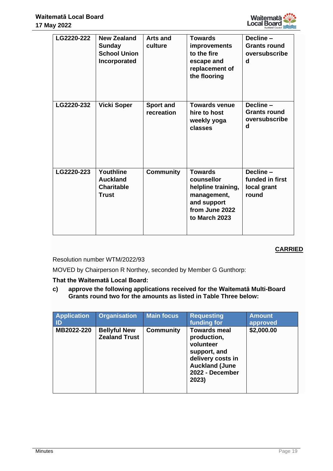

| LG2220-222 | <b>New Zealand</b><br><b>Sunday</b><br><b>School Union</b><br>Incorporated | <b>Arts and</b><br>culture | <b>Towards</b><br>improvements<br>to the fire<br>escape and<br>replacement of<br>the flooring                       | Decline-<br><b>Grants round</b><br>oversubscribe<br>d |
|------------|----------------------------------------------------------------------------|----------------------------|---------------------------------------------------------------------------------------------------------------------|-------------------------------------------------------|
| LG2220-232 | <b>Vicki Soper</b>                                                         | Sport and<br>recreation    | <b>Towards venue</b><br>hire to host<br>weekly yoga<br>classes                                                      | Decline-<br><b>Grants round</b><br>oversubscribe<br>d |
| LG2220-223 | Youthline<br><b>Auckland</b><br><b>Charitable</b><br>Trust                 | <b>Community</b>           | <b>Towards</b><br>counsellor<br>helpline training,<br>management,<br>and support<br>from June 2022<br>to March 2023 | Decline-<br>funded in first<br>local grant<br>round   |

Resolution number WTM/2022/93

MOVED by Chairperson R Northey, seconded by Member G Gunthorp:

**That the Waitematā Local Board:**

**c) approve the following applications received for the Waitematā Multi-Board Grants round two for the amounts as listed in Table Three below:**

| <b>Application</b><br><b>ID</b> | <b>Organisation</b>                         | <b>Main focus</b> | <b>Requesting</b><br>funding for                                                                                                          | <b>Amount</b><br>approved |
|---------------------------------|---------------------------------------------|-------------------|-------------------------------------------------------------------------------------------------------------------------------------------|---------------------------|
| MB2022-220                      | <b>Bellyful New</b><br><b>Zealand Trust</b> | <b>Community</b>  | <b>Towards meal</b><br>production,<br>volunteer<br>support, and<br>delivery costs in<br><b>Auckland (June</b><br>2022 - December<br>2023) | \$2,000.00                |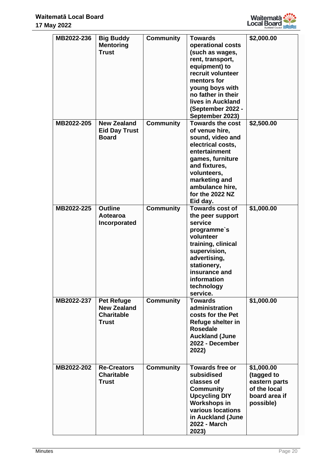

| MB2022-236 | <b>Big Buddy</b><br><b>Mentoring</b><br><b>Trust</b>                         | <b>Community</b> | <b>Towards</b><br>operational costs<br>(such as wages,<br>rent, transport,<br>equipment) to<br>recruit volunteer<br>mentors for<br>young boys with<br>no father in their<br>lives in Auckland<br>(September 2022 -<br>September 2023) | \$2,000.00                                                                              |
|------------|------------------------------------------------------------------------------|------------------|---------------------------------------------------------------------------------------------------------------------------------------------------------------------------------------------------------------------------------------|-----------------------------------------------------------------------------------------|
| MB2022-205 | <b>New Zealand</b><br><b>Eid Day Trust</b><br><b>Board</b>                   | <b>Community</b> | <b>Towards the cost</b><br>of venue hire,<br>sound, video and<br>electrical costs,<br>entertainment<br>games, furniture<br>and fixtures,<br>volunteers.<br>marketing and<br>ambulance hire,<br>for the 2022 NZ<br>Eid day.            | \$2,500.00                                                                              |
| MB2022-225 | <b>Outline</b><br>Aotearoa<br>Incorporated                                   | <b>Community</b> | Towards cost of<br>the peer support<br>service<br>programme's<br>volunteer<br>training, clinical<br>supervision,<br>advertising,<br>stationery,<br>insurance and<br>information<br>technology<br>service.                             | \$1,000.00                                                                              |
| MB2022-237 | <b>Pet Refuge</b><br><b>New Zealand</b><br><b>Charitable</b><br><b>Trust</b> | <b>Community</b> | <b>Towards</b><br>administration<br>costs for the Pet<br>Refuge shelter in<br><b>Rosedale</b><br><b>Auckland (June</b><br>2022 - December<br>2022)                                                                                    | \$1,000.00                                                                              |
| MB2022-202 | <b>Re-Creators</b><br><b>Charitable</b><br><b>Trust</b>                      | <b>Community</b> | <b>Towards free or</b><br>subsidised<br>classes of<br><b>Community</b><br><b>Upcycling DIY</b><br><b>Workshops in</b><br>various locations<br>in Auckland (June<br>2022 - March<br>2023)                                              | \$1,000.00<br>(tagged to<br>eastern parts<br>of the local<br>board area if<br>possible) |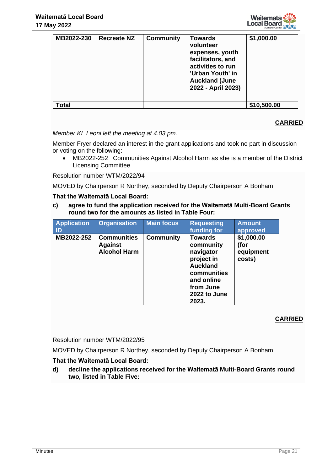

| MB2022-230 | <b>Recreate NZ</b> | <b>Community</b> | <b>Towards</b><br>volunteer<br>expenses, youth<br>facilitators, and<br>activities to run<br>'Urban Youth' in<br><b>Auckland (June</b><br>2022 - April 2023) | \$1,000.00  |
|------------|--------------------|------------------|-------------------------------------------------------------------------------------------------------------------------------------------------------------|-------------|
| Total      |                    |                  |                                                                                                                                                             | \$10,500.00 |

# *Member KL Leoni left the meeting at 4.03 pm.*

Member Fryer declared an interest in the grant applications and took no part in discussion or voting on the following:

• MB2022-252 Communities Against Alcohol Harm as she is a member of the District Licensing Committee

Resolution number WTM/2022/94

MOVED by Chairperson R Northey, seconded by Deputy Chairperson A Bonham:

#### **That the Waitematā Local Board:**

**c) agree to fund the application received for the Waitematā Multi-Board Grants round two for the amounts as listed in Table Four:**

| <b>Application</b><br>-ID | <b>Organisation</b>                                         | <b>Main focus</b> | <b>Requesting</b><br>funding for                                                                                                             | <b>Amount</b><br>approved                 |
|---------------------------|-------------------------------------------------------------|-------------------|----------------------------------------------------------------------------------------------------------------------------------------------|-------------------------------------------|
| MB2022-252                | <b>Communities</b><br><b>Against</b><br><b>Alcohol Harm</b> | <b>Community</b>  | <b>Towards</b><br>community<br>navigator<br>project in<br><b>Auckland</b><br>communities<br>and online<br>from June<br>2022 to June<br>2023. | \$1,000.00<br>(for<br>equipment<br>costs) |

# **CARRIED**

Resolution number WTM/2022/95

MOVED by Chairperson R Northey, seconded by Deputy Chairperson A Bonham:

# **That the Waitematā Local Board:**

**d) decline the applications received for the Waitematā Multi-Board Grants round two, listed in Table Five:**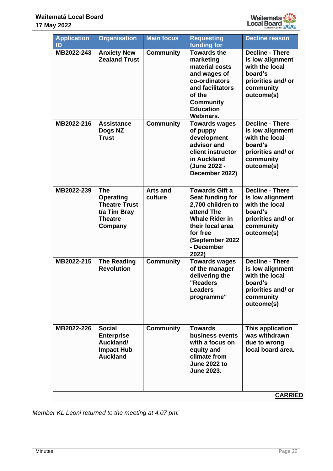

| <b>Application</b><br>ID | <b>Organisation</b>                                                                                 | <b>Main focus</b>          | <b>Requesting</b><br>funding for                                                                                                                                                | <b>Decline reason</b>                                                                                                    |
|--------------------------|-----------------------------------------------------------------------------------------------------|----------------------------|---------------------------------------------------------------------------------------------------------------------------------------------------------------------------------|--------------------------------------------------------------------------------------------------------------------------|
| MB2022-243               | <b>Anxiety New</b><br><b>Zealand Trust</b>                                                          | <b>Community</b>           | <b>Towards the</b><br>marketing<br>material costs<br>and wages of<br>co-ordinators<br>and facilitators<br>of the<br><b>Community</b><br><b>Education</b><br><b>Webinars.</b>    | <b>Decline - There</b><br>is low alignment<br>with the local<br>board's<br>priorities and/or<br>community<br>outcome(s)  |
| MB2022-216               | <b>Assistance</b><br>Dogs NZ<br><b>Trust</b>                                                        | <b>Community</b>           | <b>Towards wages</b><br>of puppy<br>development<br>advisor and<br>client instructor<br>in Auckland<br>(June 2022 -<br>December 2022)                                            | <b>Decline - There</b><br>is low alignment<br>with the local<br>board's<br>priorities and/or<br>community<br>outcome(s)  |
| MB2022-239               | <b>The</b><br><b>Operating</b><br><b>Theatre Trust</b><br>t/a Tim Bray<br><b>Theatre</b><br>Company | <b>Arts and</b><br>culture | <b>Towards Gift a</b><br>Seat funding for<br>2,700 children to<br>attend The<br><b>Whale Rider in</b><br>their local area<br>for free<br>(September 2022<br>- December<br>2022) | <b>Decline - There</b><br>is low alignment<br>with the local<br>board's<br>priorities and/ or<br>community<br>outcome(s) |
| MB2022-215               | <b>The Reading</b><br><b>Revolution</b>                                                             | <b>Community</b>           | <b>Towards wages</b><br>of the manager<br>delivering the<br>"Readers<br><b>Leaders</b><br>programme"                                                                            | <b>Decline - There</b><br>is low alignment<br>with the local<br>hoard's<br>priorities and/ or<br>community<br>outcome(s) |
| MB2022-226               | <b>Social</b><br><b>Enterprise</b><br>Auckland/<br><b>Impact Hub</b><br><b>Auckland</b>             | <b>Community</b>           | <b>Towards</b><br>business events<br>with a focus on<br>equity and<br>climate from<br><b>June 2022 to</b><br><b>June 2023.</b>                                                  | This application<br>was withdrawn<br>due to wrong<br>local board area.                                                   |

*Member KL Leoni returned to the meeting at 4.07 pm.*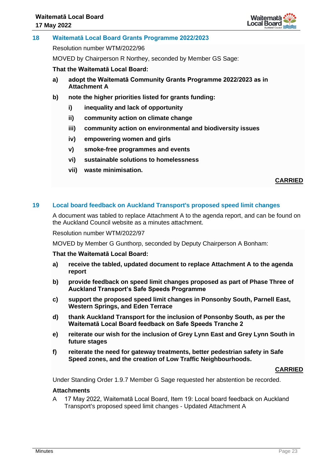

## **18 Waitematā Local Board Grants Programme 2022/2023**

Resolution number WTM/2022/96

MOVED by Chairperson R Northey, seconded by Member GS Sage:

**That the Waitematā Local Board:**

- **a) adopt the Waitematā Community Grants Programme 2022/2023 as in Attachment A**
- **b) note the higher priorities listed for grants funding:**
	- **i) inequality and lack of opportunity**
	- **ii) community action on climate change**
	- **iii) community action on environmental and biodiversity issues**
	- **iv) empowering women and girls**
	- **v) smoke-free programmes and events**
	- **vi) sustainable solutions to homelessness**
	- **vii) waste minimisation.**

**CARRIED**

#### **19 Local board feedback on Auckland Transport's proposed speed limit changes**

A document was tabled to replace Attachment A to the agenda report, and can be found on the Auckland Council website as a minutes attachment.

Resolution number WTM/2022/97

MOVED by Member G Gunthorp, seconded by Deputy Chairperson A Bonham:

#### **That the Waitematā Local Board:**

- **a) receive the tabled, updated document to replace Attachment A to the agenda report**
- **b) provide feedback on speed limit changes proposed as part of Phase Three of Auckland Transport's Safe Speeds Programme**
- **c) support the proposed speed limit changes in Ponsonby South, Parnell East, Western Springs, and Eden Terrace**
- **d) thank Auckland Transport for the inclusion of Ponsonby South, as per the Waitematā Local Board feedback on Safe Speeds Tranche 2**
- **e) reiterate our wish for the inclusion of Grey Lynn East and Grey Lynn South in future stages**
- **f) reiterate the need for gateway treatments, better pedestrian safety in Safe Speed zones, and the creation of Low Traffic Neighbourhoods.**

#### **CARRIED**

Under Standing Order 1.9.7 Member G Sage requested her abstention be recorded.

#### **Attachments**

A 17 May 2022, Waitematā Local Board, Item 19: Local board feedback on Auckland Transport's proposed speed limit changes - Updated Attachment A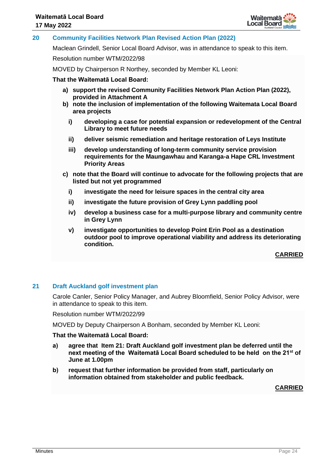

## **20 Community Facilities Network Plan Revised Action Plan (2022)**

Maclean Grindell, Senior Local Board Advisor, was in attendance to speak to this item.

Resolution number WTM/2022/98

MOVED by Chairperson R Northey, seconded by Member KL Leoni:

#### **That the Waitematā Local Board:**

- **a) support the revised Community Facilities Network Plan Action Plan (2022), provided in Attachment A**
- **b) note the inclusion of implementation of the following Waitemata Local Board area projects**
	- **i) developing a case for potential expansion or redevelopment of the Central Library to meet future needs**
	- **ii) deliver seismic remediation and heritage restoration of Leys Institute**
	- **iii) develop understanding of long-term community service provision requirements for the Maungawhau and Karanga-a Hape CRL Investment Priority Areas**
- **c) note that the Board will continue to advocate for the following projects that are listed but not yet programmed**
	- **i) investigate the need for leisure spaces in the central city area**
	- **ii) investigate the future provision of Grey Lynn paddling pool**
	- **iv) develop a business case for a multi-purpose library and community centre in Grey Lynn**
	- **v) investigate opportunities to develop Point Erin Pool as a destination outdoor pool to improve operational viability and address its deteriorating condition.**

**CARRIED**

#### **21 Draft Auckland golf investment plan**

Carole Canler, Senior Policy Manager, and Aubrey Bloomfield, Senior Policy Advisor, were in attendance to speak to this item.

Resolution number WTM/2022/99

MOVED by Deputy Chairperson A Bonham, seconded by Member KL Leoni:

#### **That the Waitematā Local Board:**

- **a) agree that Item 21: Draft Auckland golf investment plan be deferred until the next meeting of the Waitematā Local Board scheduled to be held on the 21st of June at 1.00pm**
- **b) request that further information be provided from staff, particularly on information obtained from stakeholder and public feedback.**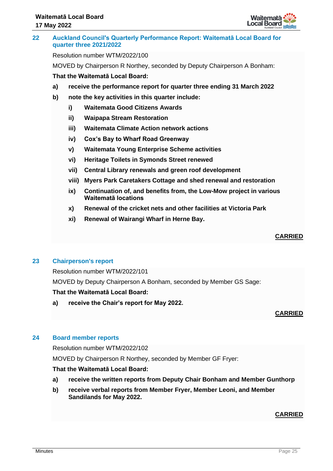

## **22 Auckland Council's Quarterly Performance Report: Waitematā Local Board for quarter three 2021/2022**

Resolution number WTM/2022/100

MOVED by Chairperson R Northey, seconded by Deputy Chairperson A Bonham:

# **That the Waitematā Local Board:**

- **a) receive the performance report for quarter three ending 31 March 2022**
- **b) note the key activities in this quarter include:**
	- **i) Waitemata Good Citizens Awards**
	- **ii) Waipapa Stream Restoration**
	- **iii) Waitemata Climate Action network actions**
	- **iv) Cox's Bay to Wharf Road Greenway**
	- **v) Waitemata Young Enterprise Scheme activities**
	- **vi) Heritage Toilets in Symonds Street renewed**
	- **vii) Central Library renewals and green roof development**
	- **viii) Myers Park Caretakers Cottage and shed renewal and restoration**
	- **ix) Continuation of, and benefits from, the Low-Mow project in various Waitematā locations**
	- **x) Renewal of the cricket nets and other facilities at Victoria Park**
	- **xi) Renewal of Wairangi Wharf in Herne Bay.**

## **CARRIED**

# **23 Chairperson's report**

Resolution number WTM/2022/101

MOVED by Deputy Chairperson A Bonham, seconded by Member GS Sage:

# **That the Waitematā Local Board:**

**a) receive the Chair's report for May 2022.**

# **CARRIED**

# **24 Board member reports**

Resolution number WTM/2022/102

MOVED by Chairperson R Northey, seconded by Member GF Fryer:

# **That the Waitematā Local Board:**

- **a) receive the written reports from Deputy Chair Bonham and Member Gunthorp**
- **b) receive verbal reports from Member Fryer, Member Leoni, and Member Sandilands for May 2022.**